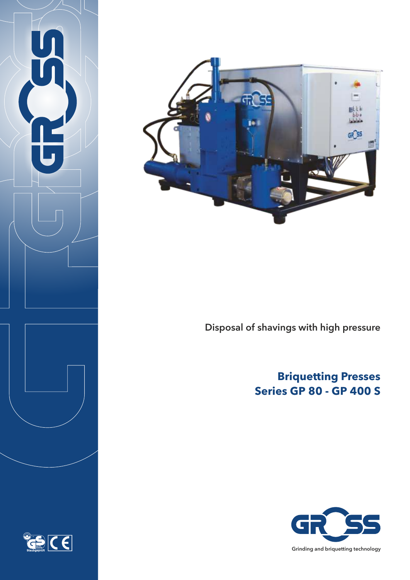





Disposal of shavings with high pressure

# **Briquetting Presses Series GP 80 - GP 400 S**

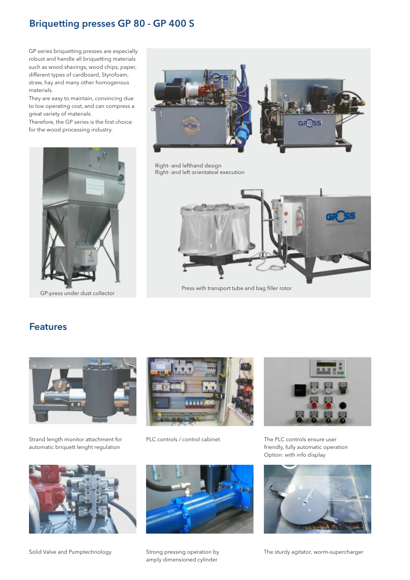#### Briquetting presses GP 80 - GP 400 S

GP series briquetting presses are especially robust and handle all briquetting materials such as wood shavings, wood chips, paper, different types of cardboard, Styrofoam, straw, hay and many other homogenous materials.

They are easy to maintain, convincing due to low operating cost, and can compress a great variety of materials.

Therefore, the GP series is the first choice for the wood processing industry.



GP-press under dust collector





Right- and lefthand design Right- and left orientateal execution



Press with transport tube and bag filler rotor

#### Features Features



Strand length monitor attachment for automatic briquett lenght regulation



Solid Valve and Pumptechnology



PLC controls / control cabinet





The PLC controls ensure user friendly, fully automatic operation Option: with info display



The sturdy agitator, worm-supercharger

Strong pressing operation by amply dimensioned cylinder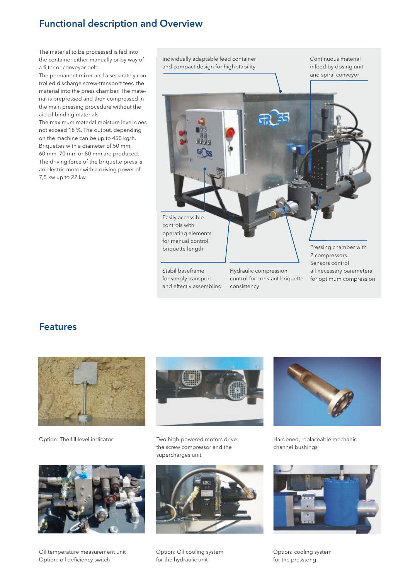#### **Functional description and Overview**

The material to be processed is fed into the container either manually or by way of a filter or conveyor belt.

The permanent mixer and a separately controlled discharge screw-transport feed the material into the press chamber. The material is prepressed and then compressed in the main pressing procedure without the aid of binding materials.

The maximum material moisture level does not exceed 18 %. The output, depending on the machine can be up to 450 kg/h. Briquettes with a diameter of 50 mm, 60 mm, 70 mm or 80 mm are produced. The driving force of the briquette press is an electric motor with a driving power of 7,5 kw up to 22 kw.

Individually adaptable feed container and compact design for high stability

Continuous material infeed by dosing unit and spiral conveyor



**Features** 



Option: The fill level indicator



Two high-powered motors drive the screw compressor and the supercharges unit



Oil temperature measurement unit Option: oil deficiency switch



Option: Oil cooling system for the hydraulic unit



Hardened, replaceable mechanic channel bushings



Option: cooling system for the presstong